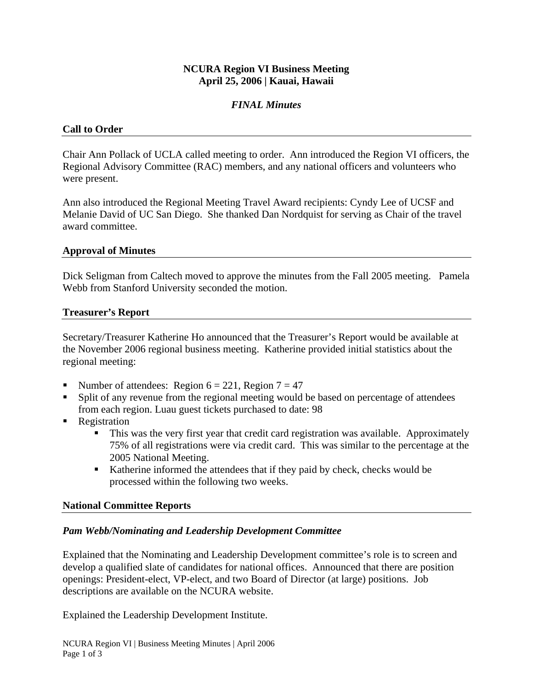# **NCURA Region VI Business Meeting April 25, 2006 | Kauai, Hawaii**

# *FINAL Minutes*

# **Call to Order**

Chair Ann Pollack of UCLA called meeting to order. Ann introduced the Region VI officers, the Regional Advisory Committee (RAC) members, and any national officers and volunteers who were present.

Ann also introduced the Regional Meeting Travel Award recipients: Cyndy Lee of UCSF and Melanie David of UC San Diego. She thanked Dan Nordquist for serving as Chair of the travel award committee.

#### **Approval of Minutes**

Dick Seligman from Caltech moved to approve the minutes from the Fall 2005 meeting. Pamela Webb from Stanford University seconded the motion.

#### **Treasurer's Report**

Secretary/Treasurer Katherine Ho announced that the Treasurer's Report would be available at the November 2006 regional business meeting. Katherine provided initial statistics about the regional meeting:

- Number of attendees: Region  $6 = 221$ , Region  $7 = 47$
- Split of any revenue from the regional meeting would be based on percentage of attendees from each region. Luau guest tickets purchased to date: 98
- Registration
	- This was the very first year that credit card registration was available. Approximately 75% of all registrations were via credit card. This was similar to the percentage at the 2005 National Meeting.
	- Katherine informed the attendees that if they paid by check, checks would be processed within the following two weeks.

# **National Committee Reports**

# *Pam Webb/Nominating and Leadership Development Committee*

Explained that the Nominating and Leadership Development committee's role is to screen and develop a qualified slate of candidates for national offices. Announced that there are position openings: President-elect, VP-elect, and two Board of Director (at large) positions. Job descriptions are available on the NCURA website.

Explained the Leadership Development Institute.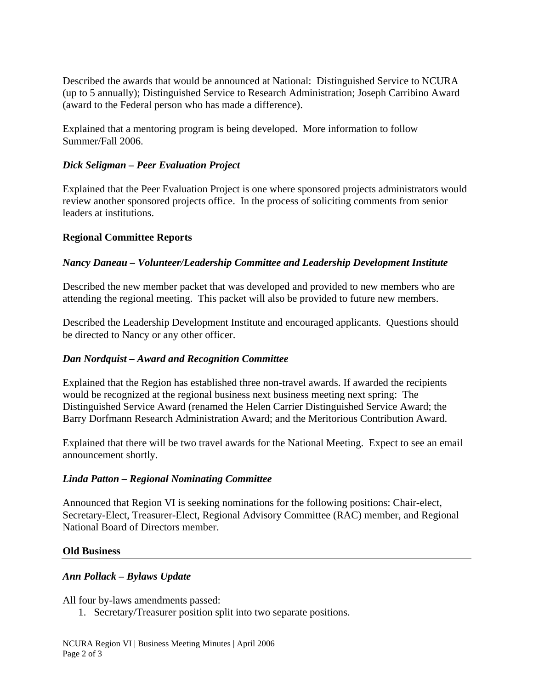Described the awards that would be announced at National: Distinguished Service to NCURA (up to 5 annually); Distinguished Service to Research Administration; Joseph Carribino Award (award to the Federal person who has made a difference).

Explained that a mentoring program is being developed. More information to follow Summer/Fall 2006.

# *Dick Seligman – Peer Evaluation Project*

Explained that the Peer Evaluation Project is one where sponsored projects administrators would review another sponsored projects office. In the process of soliciting comments from senior leaders at institutions.

# **Regional Committee Reports**

# *Nancy Daneau – Volunteer/Leadership Committee and Leadership Development Institute*

Described the new member packet that was developed and provided to new members who are attending the regional meeting. This packet will also be provided to future new members.

Described the Leadership Development Institute and encouraged applicants. Questions should be directed to Nancy or any other officer.

# *Dan Nordquist – Award and Recognition Committee*

Explained that the Region has established three non-travel awards. If awarded the recipients would be recognized at the regional business next business meeting next spring: The Distinguished Service Award (renamed the Helen Carrier Distinguished Service Award; the Barry Dorfmann Research Administration Award; and the Meritorious Contribution Award.

Explained that there will be two travel awards for the National Meeting. Expect to see an email announcement shortly.

# *Linda Patton – Regional Nominating Committee*

Announced that Region VI is seeking nominations for the following positions: Chair-elect, Secretary-Elect, Treasurer-Elect, Regional Advisory Committee (RAC) member, and Regional National Board of Directors member.

# **Old Business**

# *Ann Pollack – Bylaws Update*

All four by-laws amendments passed:

1. Secretary/Treasurer position split into two separate positions.